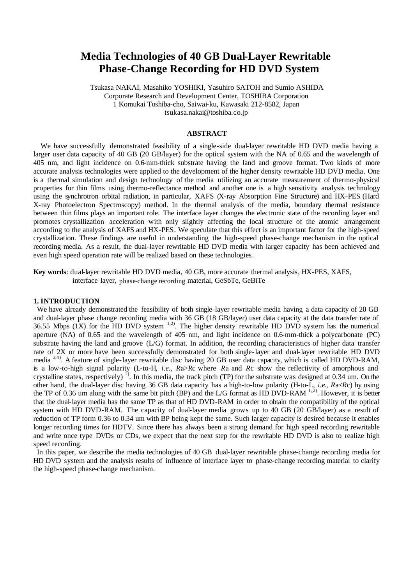# **Media Technologies of 40 GB Dual-Layer Rewritable Phase-Change Recording for HD DVD System**

Tsukasa NAKAI, Masahiko YOSHIKI, Yasuhiro SATOH and Sumio ASHIDA Corporate Research and Development Center, TOSHIBA Corporation 1 Komukai Toshiba-cho, Saiwai-ku, Kawasaki 212-8582, Japan tsukasa.nakai@toshiba.co.jp

# **ABSTRACT**

We have successfully demonstrated feasibility of a single-side dual-layer rewritable HD DVD media having a larger user data capacity of 40 GB (20 GB/layer) for the optical system with the NA of 0.65 and the wavelength of 405 nm, and light incidence on 0.6-mm-thick substrate having the land and groove format. Two kinds of more accurate analysis technologies were applied to the development of the higher density rewritable HD DVD media. One is a thermal simulation and design technology of the media utilizing an accurate measurement of thermo-physical properties for thin films using thermo-reflectance method and another one is a high sensitivity analysis technology using the synchrotron orbital radiation, in particular, XAFS (X-ray Absorption Fine Structure) and HX-PES (Hard X-ray Photoelectron Spectroscopy) method. In the thermal analysis of the media, boundary thermal resistance between thin films plays an important role. The interface layer changes the electronic state of the recording layer and promotes crystallization acceleration with only slightly affecting the local structure of the atomic arrangement according to the analysis of XAFS and HX-PES. We speculate that this effect is an important factor for the high-speed crystallization. These findings are useful in understanding the high-speed phase-change mechanism in the optical recording media. As a result, the dual-layer rewritable HD DVD media with larger capacity has been achieved and even high speed operation rate will be realized based on these technologies.

**Key words**: dual-layer rewritable HD DVD media, 40 GB, more accurate thermal analysis, HX-PES, XAFS, interface layer, phase-change recording material, GeSbTe, GeBiTe

## **1. INTRODUCTION**

We have already demonstrated the feasibility of both single-layer rewritable media having a data capacity of 20 GB and dual-layer phase change recording media with 36 GB (18 GB/layer) user data capacity at the data transfer rate of 36.55 Mbps  $(1X)$  for the HD DVD system  $1,2$ . The higher density rewritable HD DVD system has the numerical aperture (NA) of 0.65 and the wavelength of 405 nm, and light incidence on 0.6-mm-thick a polycarbonate (PC) substrate having the land and groove  $(L/G)$  format. In addition, the recording characteristics of higher data transfer rate of 2X or more have been successfully demonstrated for both single-layer and dual-layer rewritable HD DVD media <sup>3,4)</sup>. A feature of single-layer rewritable disc having 20 GB user data capacity, which is called HD DVD-RAM, is a low-to-high signal polarity (L-to-H, *i*.*e*., *R*a>*R*c where *R*a and *R*c show the reflectivity of amorphous and crystalline states, respectively)<sup>1)</sup>. In this media, the track pitch (TP) for the substrate was designed at 0.34 um. On the other hand, the dual-layer disc having 36 GB data capacity has a high-to-low polarity (H-to-L, *i*.*e*., *R*a<*R*c) by using the TP of 0.36 um along with the same bit pitch (BP) and the L/G format as HD DVD-RAM  $^{1,2}$ ). However, it is better that the dual-layer media has the same TP as that of HD DVD-RAM in order to obtain the compatibility of the optical system with HD DVD-RAM. The capacity of dual-layer media grows up to 40 GB (20 GB/layer) as a result of reduction of TP form 0.36 to 0.34 um with BP being kept the same. Such larger capacity is desired because it enables longer recording times for HDTV. Since there has always been a strong demand for high speed recording rewritable and write once type DVDs or CDs, we expect that the next step for the rewritable HD DVD is also to realize high speed recording.

In this paper, we describe the media technologies of 40 GB dual-layer rewritable phase-change recording media for HD DVD system and the analysis results of influence of interface layer to phase-change recording material to clarify the high-speed phase-change mechanism.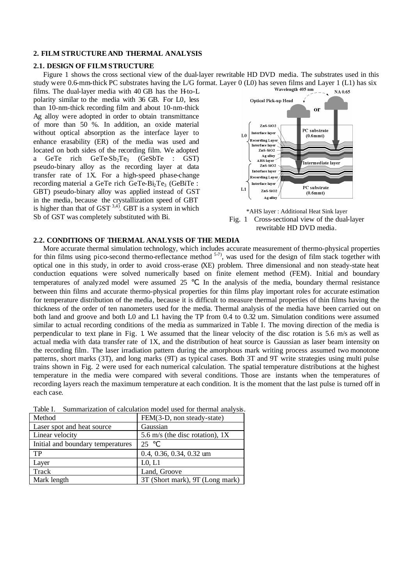## **2. FILM STRUCTURE AND THERMAL ANALYSIS**

#### **2.1. DESIGN OF FILM STRUCTURE**

Figure 1 shows the cross sectional view of the dual-layer rewritable HD DVD media. The substrates used in this study were 0.6-mm-thick PC substrates having the L/G format. Layer 0 (L0) has seven films and Layer 1 (L1) has six<br>films. The dual layer media with 40 GB has the H to I

films. The dual-layer media with 40 GB has the H-to-L polarity similar to the media with 36 GB. For L0, less than 10-nm-thick recording film and about 10-nm-thick Ag alloy were adopted in order to obtain transmittance of more than 50 %. In addition, an oxide material without optical absorption as the interface layer to enhance erasability (ER) of the media was used and located on both sides of the recording film. We adopted a GeTe rich GeTe-Sb<sub>2</sub>Te<sub>3</sub> (GeSbTe : GST) pseudo-binary alloy as the recording layer at data transfer rate of 1X. For a high-speed phase-change recording material a GeTe rich GeTe-B $i_2$ Te<sub>3</sub> (GeBiTe : GBT) pseudo-binary alloy was applied instead of GST in the media, because the crystallization speed of GBT is higher than that of  $GST^{3,4}$ . GBT is a system in which Sb of GST was completely substituted with Bi.





# **2.2. CONDITIONS OF THERMAL ANALYSIS OF THE MEDIA**

More accurate thermal simulation technology, which includes accurate measurement of thermo-physical properties for thin films using pico-second thermo-reflectance method  $5-7$ ), was used for the design of film stack together with optical one in this study, in order to avoid cross-erase (XE) problem. Three dimensional and non steady-state heat conduction equations were solved numerically based on finite element method (FEM). Initial and boundary temperatures of analyzed model were assumed 25 . In the analysis of the media, boundary thermal resistance between thin films and accurate thermo-physical properties for thin films play important roles for accurate estimation for temperature distribution of the media, because it is difficult to measure thermal properties of thin films having the thickness of the order of ten nanometers used for the media. Thermal analysis of the media have been carried out on both land and groove and both L0 and L1 having the TP from 0.4 to 0.32 um. Simulation conditions were assumed similar to actual recording conditions of the media as summarized in Table I. The moving direction of the media is perpendicular to text plane in Fig. 1. We assumed that the linear velocity of the disc rotation is 5.6 m/s as well as actual media with data transfer rate of 1X, and the distribution of heat source is Gaussian as laser beam intensity on the recording film. The laser irradiation pattern during the amorphous mark writing process assumed two monotone patterns, short marks (3T), and long marks (9T) as typical cases. Both 3T and 9T write strategies using multi pulse trains shown in Fig. 2 were used for each numerical calculation. The spatial temperature distributions at the highest temperature in the media were compared with several conditions. Those are instants when the temperatures of recording layers reach the maximum temperature at each condition. It is the moment that the last pulse is turned off in each case.

Table I. Summarization of calculation model used for thermal analysis.

| Method                            | FEM(3-D, non steady-state)        |  |  |
|-----------------------------------|-----------------------------------|--|--|
| Laser spot and heat source        | Gaussian                          |  |  |
| Linear velocity                   | 5.6 m/s (the disc rotation), $1X$ |  |  |
| Initial and boundary temperatures | 25                                |  |  |
| TP                                | $0.4, 0.36, 0.34, 0.32$ um        |  |  |
| Layer                             | L <sub>0</sub> , L <sub>1</sub>   |  |  |
| Track                             | Land, Groove                      |  |  |
| Mark length                       | 3T (Short mark), 9T (Long mark)   |  |  |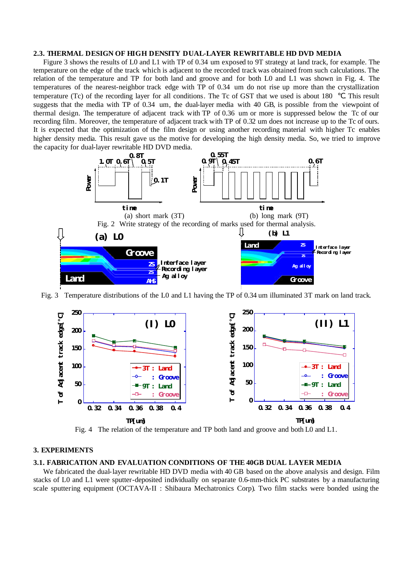# **2.3. THERMAL DESIGN OF HIGH DENSITY DUAL-LAYER REWRITABLE HD DVD MEDIA**

Figure 3 shows the results of L0 and L1 with TP of 0.34 um exposed to 9T strategy at land track, for example. The temperature on the edge of the track which is adjacent to the recorded track was obtained from such calculations. The relation of the temperature and TP for both land and groove and for both L0 and L1 was shown in Fig. 4. The temperatures of the nearest-neighbor track edge with TP of 0.34 um do not rise up more than the crystallization temperature (Tc) of the recording layer for all conditions. The Tc of GST that we used is about 180 . This result suggests that the media with TP of 0.34 um, the dual-layer media with 40 GB, is possible from the viewpoint of thermal design. The temperature of adjacent track with TP of 0.36 um or more is suppressed below the Tc of our recording film. Moreover, the temperature of adjacent track with TP of 0.32 um does not increase up to the Tc of ours. It is expected that the optimization of the film design or using another recording material with higher Tc enables higher density media. This result gave us the motive for developing the high density media. So, we tried to improve the capacity for dual-layer rewritable HD DVD media.



Fig. 3 Temperature distributions of the L0 and L1 having the TP of 0.34 um illuminated 3T mark on land track.



Fig. 4 The relation of the temperature and TP both land and groove and both L0 and L1.

#### **3. EXPERIMENTS**

## **3.1. FABRICATION AND EVALUATION CONDITIONS OF THE 40GB DUAL LAYER MEDIA**

We fabricated the dual-layer rewritable HD DVD media with 40 GB based on the above analysis and design. Film stacks of L0 and L1 were sputter-deposited individually on separate 0.6-mm-thick PC substrates by a manufacturing scale sputtering equipment (OCTAVA-II : Shibaura Mechatronics Corp). Two film stacks were bonded using the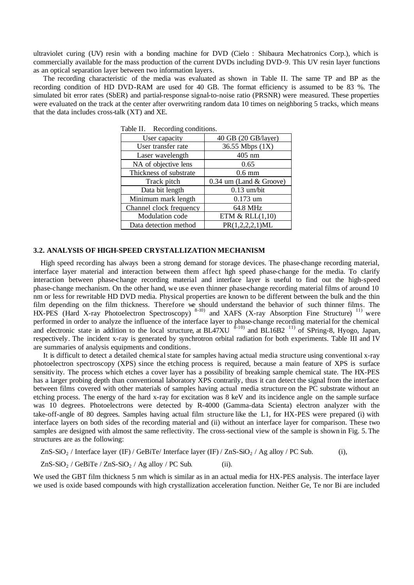ultraviolet curing (UV) resin with a bonding machine for DVD (Cielo : Shibaura Mechatronics Corp.), which is commercially available for the mass production of the current DVDs including DVD-9. This UV resin layer functions as an optical separation layer between two information layers.

The recording characteristic of the media was evaluated as shown in Table II. The same TP and BP as the recording condition of HD DVD-RAM are used for 40 GB. The format efficiency is assumed to be 83 %. The simulated bit error rates (SbER) and partial-response signal-to-noise ratio (PRSNR) were measured. These properties were evaluated on the track at the center after overwriting random data 10 times on neighboring 5 tracks, which means that the data includes cross-talk (XT) and XE.

| User capacity           | 40 GB (20 GB/layer)       |  |  |  |
|-------------------------|---------------------------|--|--|--|
| User transfer rate      | 36.55 Mbps (1X)           |  |  |  |
| Laser wavelength        | 405 nm                    |  |  |  |
| NA of objective lens    | 0.65                      |  |  |  |
| Thickness of substrate  | $0.6 \text{ mm}$          |  |  |  |
| Track pitch             | $0.34$ um (Land & Groove) |  |  |  |
| Data bit length         | $0.13$ um/bit             |  |  |  |
| Minimum mark length     | $0.173$ um                |  |  |  |
| Channel clock frequency | 64.8 MHz                  |  |  |  |
| Modulation code         | ETM $&$ RLL $(1,10)$      |  |  |  |
| Data detection method   | PR(1,2,2,2,1)ML           |  |  |  |

Table II. Recording conditions.

## **3.2. ANALYSIS OF HIGH-SPEED CRYSTALLIZATION MECHANISM**

High speed recording has always been a strong demand for storage devices. The phase-change recording material, interface layer material and interaction between them affect high speed phase-change for the media. To clarify interaction between phase-change recording material and interface layer is useful to find out the high-speed phase-change mechanism. On the other hand, we use even thinner phase-change recording material films of around 10 nm or less for rewritable HD DVD media. Physical properties are known to be different between the bulk and the thin film depending on the film thickness. Therefore we should understand the behavior of such thinner films. The HX-PES (Hard X-ray Photoelectron Spectroscopy)<sup>8-10)</sup> and XAFS (X-ray Absorption Fine Structure)<sup>11)</sup> were performed in order to analyze the influence of the interface layer to phase-change recording material for the chemical and electronic state in addition to the local structure, at BL47XU  $^{8-10)}$  and BL16B2 <sup>11)</sup> of SPring-8, Hyogo, Japan, respectively. The incident x-ray is generated by synchrotron orbital radiation for both experiments. Table III and IV are summaries of analysis equipments and conditions.

It is difficult to detect a detailed chemical state for samples having actual media structure using conventional x-ray photoelectron spectroscopy (XPS) since the etching process is required, because a main feature of XPS is surface sensitivity. The process which etches a cover layer has a possibility of breaking sample chemical state. The HX-PES has a larger probing depth than conventional laboratory XPS contrarily, thus it can detect the signal from the interface between films covered with other materials of samples having actual media structure on the PC substrate without an etching process. The energy of the hard x-ray for excitation was 8 keV and its incidence angle on the sample surface was 10 degrees. Photoelectrons were detected by R-4000 (Gamma-data Scienta) electron analyzer with the take-off-angle of 80 degrees. Samples having actual film structure like the L1, for HX-PES were prepared (i) with interface layers on both sides of the recording material and (ii) without an interface layer for comparison. These two samples are designed with almost the same reflectivity. The cross-sectional view of the sample is shown in Fig. 5. The structures are as the following:

 $ZnS-SiO<sub>2</sub>$  / Interface layer (IF) / GeBiTe/ Interface layer (IF) /  $ZnS-SiO<sub>2</sub>$  / Ag alloy / PC Sub. (i),

 $ZnS-SiO<sub>2</sub> / GeBiTe / ZnS-SiO<sub>2</sub> / Ag alloy / PC Sub.$  (ii).

We used the GBT film thickness 5 nm which is similar as in an actual media for HX-PES analysis. The interface layer we used is oxide based compounds with high crystallization acceleration function. Neither Ge, Te nor Bi are included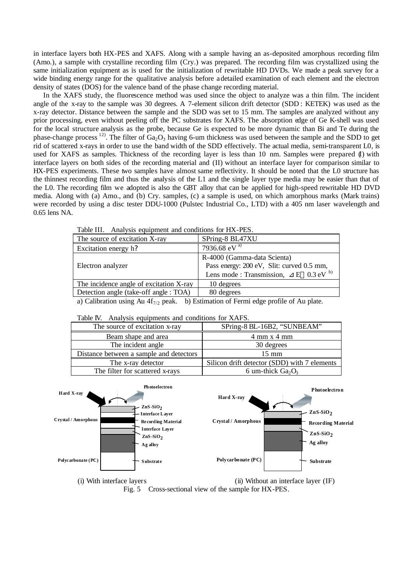in interface layers both HX-PES and XAFS. Along with a sample having an as-deposited amorphous recording film (Amo.), a sample with crystalline recording film (Cry.) was prepared. The recording film was crystallized using the same initialization equipment as is used for the initialization of rewritable HD DVDs. We made a peak survey for a wide binding energy range for the qualitative analysis before a detailed examination of each element and the electron density of states (DOS) for the valence band of the phase change recording material.

In the XAFS study, the fluorescence method was used since the object to analyze was a thin film. The incident angle of the x-ray to the sample was 30 degrees. A 7-element silicon drift detector (SDD : KETEK) was used as the x-ray detector. Distance between the sample and the SDD was set to 15 mm. The samples are analyzed without any prior processing, even without peeling off the PC substrates for XAFS. The absorption edge of Ge K-shell was used for the local structure analysis as the probe, because Ge is expected to be more dynamic than Bi and Te during the phase-change process <sup>12</sup>. The filter of  $Ga_2O_3$  having 6-um thickness was used between the sample and the SDD to get rid of scattered x-rays in order to use the band width of the SDD effectively. The actual media, semi-transparent L0, is used for XAFS as samples. Thickness of the recording layer is less than 10 nm. Samples were prepared (I) with interface layers on both sides of the recording material and (II) without an interface layer for comparison similar to HX-PES experiments. These two samples have almost same reflectivity. It should be noted that the L0 structure has the thinnest recording film and thus the analysis of the L1 and the single layer type media may be easier than that of the L0. The recording film we adopted is also the GBT alloy that can be applied for high-speed rewritable HD DVD media. Along with (a) Amo., and (b) Cry. samples, (c) a sample is used, on which amorphous marks (Mark trains) were recorded by using a disc tester DDU-1000 (Pulstec Industrial Co., LTD) with a 405 nm laser wavelength and 0.65 lens NA.

| The source of excitation X-ray          | SPring-8 BL47XU                                                                                                       |
|-----------------------------------------|-----------------------------------------------------------------------------------------------------------------------|
| Excitation energy h?                    | 7936.68 eV <sup>a)</sup>                                                                                              |
| Electron analyzer                       | R-4000 (Gamma-data Scienta)<br>Pass energy: 200 eV, Slit: curved 0.5 mm,<br>Lens mode: Transmission, $E = 0.3 eV^{b}$ |
| The incidence angle of excitation X-ray | 10 degrees                                                                                                            |
| Detection angle (take-off angle : TOA)  | 80 degrees                                                                                                            |

Table III. Analysis equipment and conditions for HX-PES

a) Calibration using Au  $4f_{7/2}$  peak. b) Estimation of Fermi edge profile of Au plate.

| Table IV. Analysis equipments and conditions for XAFS. |                                              |  |  |  |  |  |
|--------------------------------------------------------|----------------------------------------------|--|--|--|--|--|
| The source of excitation x-ray                         | SPring-8 BL-16B2, "SUNBEAM"                  |  |  |  |  |  |
| Beam shape and area                                    | $4 \text{ mm} x 4 \text{ mm}$                |  |  |  |  |  |
| The incident angle                                     | 30 degrees                                   |  |  |  |  |  |
| Distance between a sample and detectors                | $15 \text{ mm}$                              |  |  |  |  |  |
| The x-ray detector                                     | Silicon drift detector (SDD) with 7 elements |  |  |  |  |  |
| The filter for scattered x-rays                        | 6 um-thick $Ga2O3$                           |  |  |  |  |  |





Fig. 5 Cross-sectional view of the sample for HX-PES.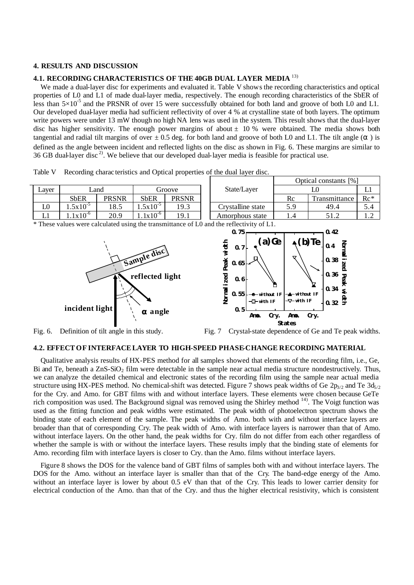## **4. RESULTS AND DISCUSSION**

#### **4.1. RECORDING CHARACTERISTICS OF THE 40GB DUAL LAYER MEDIA** 13)

We made a dual-layer disc for experiments and evaluated it. Table V shows the recording characteristics and optical properties of L0 and L1 of made dual-layer media, respectively. The enough recording characteristics of the SbER of less than  $5\times10^{-5}$  and the PRSNR of over 15 were successfully obtained for both land and groove of both L0 and L1. Our developed dual-layer media had sufficient reflectivity of over 4 % at crystalline state of both layers. The optimum write powers were under 13 mW though no high NA lens was used in the system. This result shows that the dual-layer disc has higher sensitivity. The enough power margins of about  $\pm$  10 % were obtained. The media shows both tangential and radial tilt margins of over  $\pm$  0.5 deg. for both land and groove of both L0 and L1. The tilt angle () is defined as the angle between incident and reflected lights on the disc as shown in Fig. 6. These margins are similar to 36 GB dual-layer disc<sup>2)</sup>. We believe that our developed dual-layer media is feasible for practical use.

Table V Recording charac teristics and Optical properties of the dual layer disc.

|                |              |              |              |              | Optical constants [%] |      |                            |       |
|----------------|--------------|--------------|--------------|--------------|-----------------------|------|----------------------------|-------|
| ∟ayer          | ∟and         |              | Groove       |              | State/Layer           |      |                            |       |
|                | <b>SbER</b>  | <b>PRSNR</b> | SbER         | <b>PRSNR</b> |                       | Rc   | <sub>1</sub> Transmittance | $Re*$ |
| $_{\text{L0}}$ | $.5x10^{-5}$ | 18.5         | $.5x10^{-5}$ | 19.3         | Crystalline state     | 5.9  | 49.4                       | 5.4   |
|                | $.1x10^{-6}$ | 20.9         | $.1x10^{-6}$ | 19.1         | Amorphous state       | L .4 | 51.2                       | .     |

\* These values were calculated using the transmittance of L0 and the reflectivity of L1.





Fig. 6. Definition of tilt angle in this study. Fig. 7 Crystal-state dependence of Ge and Te peak widths.

# **4.2. EFFECTOF INTERFACE LAYER TO HIGH-SPEED PHASE-CHANGE RECORDING MATERIAL**

Qualitative analysis results of HX-PES method for all samples showed that elements of the recording film, i.e., Ge, Bi and Te, beneath a ZnS-SiO<sub>2</sub> film were detectable in the sample near actual media structure nondestructively. Thus, we can analyze the detailed chemical and electronic states of the recording film using the sample near actual media structure using HX-PES method. No chemical-shift was detected. Figure 7 shows peak widths of Ge  $2p_{3/2}$  and Te  $3d_{5/2}$ for the Cry. and Amo. for GBT films with and without interface layers. These elements were chosen because GeTe rich composition was used. The Background signal was removed using the Shirley method <sup>14)</sup>. The Voigt function was used as the fitting function and peak widths were estimated. The peak width of photoelectron spectrum shows the binding state of each element of the sample. The peak widths of Amo. both with and without interface layers are broader than that of corresponding Cry. The peak width of Amo. with interface layers is narrower than that of Amo. without interface layers. On the other hand, the peak widths for Cry. film do not differ from each other regardless of whether the sample is with or without the interface layers. These results imply that the binding state of elements for Amo. recording film with interface layers is closer to Cry. than the Amo. films without interface layers.

Figure 8 shows the DOS for the valence band of GBT films of samples both with and without interface layers. The DOS for the Amo. without an interface layer is smaller than that of the Cry. The band-edge energy of the Amo. without an interface layer is lower by about 0.5 eV than that of the Cry. This leads to lower carrier density for electrical conduction of the Amo. than that of the Cry. and thus the higher electrical resistivity, which is consistent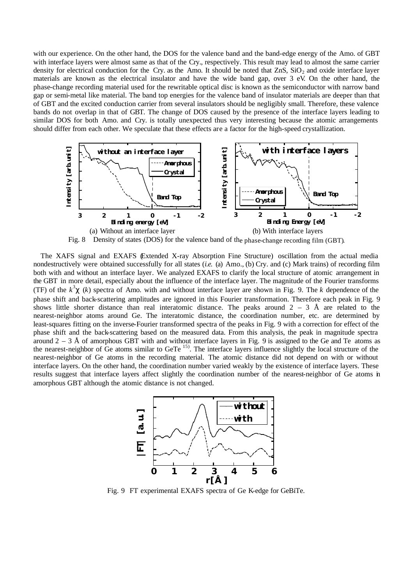with our experience. On the other hand, the DOS for the valence band and the band-edge energy of the Amo. of GBT with interface layers were almost same as that of the Cry., respectively. This result may lead to almost the same carrier density for electrical conduction for the Cry. as the Amo. It should be noted that  $ZnS$ ,  $SiO<sub>2</sub>$  and oxide interface layer materials are known as the electrical insulator and have the wide band gap, over 3 eV. On the other hand, the phase-change recording material used for the rewritable optical disc is known as the semiconductor with narrow band gap or semi-metal like material. The band top energies for the valence band of insulator materials are deeper than that of GBT and the excited conduction carrier from several insulators should be negligibly small. Therefore, these valence bands do not overlap in that of GBT. The change of DOS caused by the presence of the interface layers leading to similar DOS for both Amo. and Cry. is totally unexpected thus very interesting because the atomic arrangements should differ from each other. We speculate that these effects are a factor for the high-speed crystallization.



Fig. 8 Density of states (DOS) for the valence band of the phase-change recording film (GBT).

The XAFS signal and EXAFS (Extended X-ray Absorption Fine Structure) oscillation from the actual media nondestructively were obtained successfully for all states (*i.e.* (a) Amo., (b) Cry. and (c) Mark trains) of recording film both with and without an interface layer. We analyzed EXAFS to clarify the local structure of atomic arrangement in the GBT in more detail, especially about the influence of the interface layer. The magnitude of the Fourier transforms (TF) of the  $k^3$  (k) spectra of Amo. with and without interface layer are shown in Fig. 9. The k dependence of the phase shift and back-scattering amplitudes are ignored in this Fourier transformation. Therefore each peak in Fig. 9 shows little shorter distance than real interatomic distance. The peaks around  $2 - 3$  Å are related to the nearest-neighbor atoms around Ge. The interatomic distance, the coordination number, etc. are determined by least-squares fitting on the inverse-Fourier transformed spectra of the peaks in Fig. 9 with a correction for effect of the phase shift and the back-scattering based on the measured data. From this analysis, the peak in magnitude spectra around  $2 - 3$  Å of amorphous GBT with and without interface layers in Fig. 9 is assigned to the Ge and Te atoms as the nearest-neighbor of Ge atoms similar to GeTe<sup>15)</sup>. The interface layers influence slightly the local structure of the nearest-neighbor of Ge atoms in the recording material. The atomic distance did not depend on with or without interface layers. On the other hand, the coordination number varied weakly by the existence of interface layers. These results suggest that interface layers affect slightly the coordination number of the nearest-neighbor of Ge atoms in amorphous GBT although the atomic distance is not changed.



Fig. 9 FT experimental EXAFS spectra of Ge K-edge for GeBiTe.